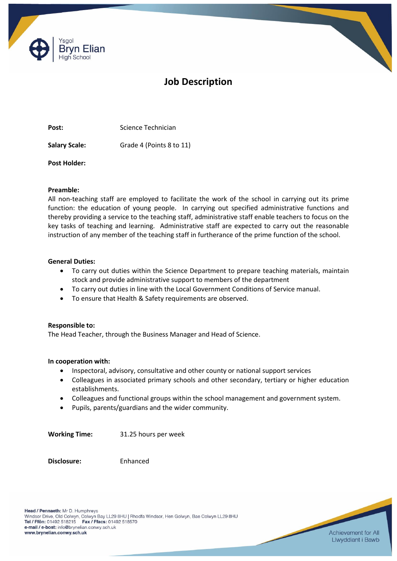

# **Job Description**

Post: Science Technician

**Salary Scale:** Grade 4 (Points 8 to 11)

**Post Holder:**

# **Preamble:**

All non-teaching staff are employed to facilitate the work of the school in carrying out its prime function: the education of young people. In carrying out specified administrative functions and thereby providing a service to the teaching staff, administrative staff enable teachers to focus on the key tasks of teaching and learning. Administrative staff are expected to carry out the reasonable instruction of any member of the teaching staff in furtherance of the prime function of the school.

# **General Duties:**

- To carry out duties within the Science Department to prepare teaching materials, maintain stock and provide administrative support to members of the department
- To carry out duties in line with the Local Government Conditions of Service manual.
- To ensure that Health & Safety requirements are observed.

## **Responsible to:**

The Head Teacher, through the Business Manager and Head of Science.

## **In cooperation with:**

- Inspectoral, advisory, consultative and other county or national support services
- Colleagues in associated primary schools and other secondary, tertiary or higher education establishments.
- Colleagues and functional groups within the school management and government system.
- Pupils, parents/guardians and the wider community.

**Working Time:** 31.25 hours per week

**Disclosure:** Enhanced

Head / Pennaeth: Mr D. Humphreys Windsor Drive, Old Colwyn, Colwyn Bay LL29 8HU | Rhodfa Windsor, Hen Golwyn, Bae Colwyn LL29 8HU Tel / Ffôn: 01492 518215 Fax / Ffacs: 01492 518570 e-mail / e-bost: info@brynelian.conwy.sch.uk www.brynelian.conwy.sch.uk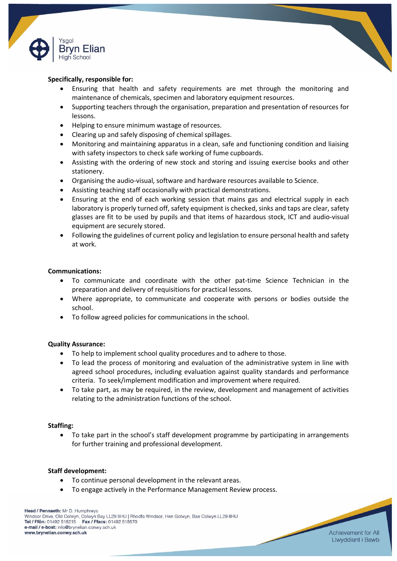

## **Specifically, responsible for:**

- Ensuring that health and safety requirements are met through the monitoring and maintenance of chemicals, specimen and laboratory equipment resources.
- Supporting teachers through the organisation, preparation and presentation of resources for lessons.
- Helping to ensure minimum wastage of resources.
- Clearing up and safely disposing of chemical spillages.
- Monitoring and maintaining apparatus in a clean, safe and functioning condition and liaising with safety inspectors to check safe working of fume cupboards.
- Assisting with the ordering of new stock and storing and issuing exercise books and other stationery.
- Organising the audio-visual, software and hardware resources available to Science.
- Assisting teaching staff occasionally with practical demonstrations.
- Ensuring at the end of each working session that mains gas and electrical supply in each laboratory is properly turned off, safety equipment is checked, sinks and taps are clear, safety glasses are fit to be used by pupils and that items of hazardous stock, ICT and audio-visual equipment are securely stored.
- Following the guidelines of current policy and legislation to ensure personal health and safety at work.

#### **Communications:**

- To communicate and coordinate with the other pat-time Science Technician in the preparation and delivery of requisitions for practical lessons.
- Where appropriate, to communicate and cooperate with persons or bodies outside the school.
- To follow agreed policies for communications in the school.

#### **Quality Assurance:**

- To help to implement school quality procedures and to adhere to those.
- To lead the process of monitoring and evaluation of the administrative system in line with agreed school procedures, including evaluation against quality standards and performance criteria. To seek/implement modification and improvement where required.
- To take part, as may be required, in the review, development and management of activities relating to the administration functions of the school.

#### **Staffing:**

 To take part in the school's staff development programme by participating in arrangements for further training and professional development.

#### **Staff development:**

- To continue personal development in the relevant areas.
- To engage actively in the Performance Management Review process.